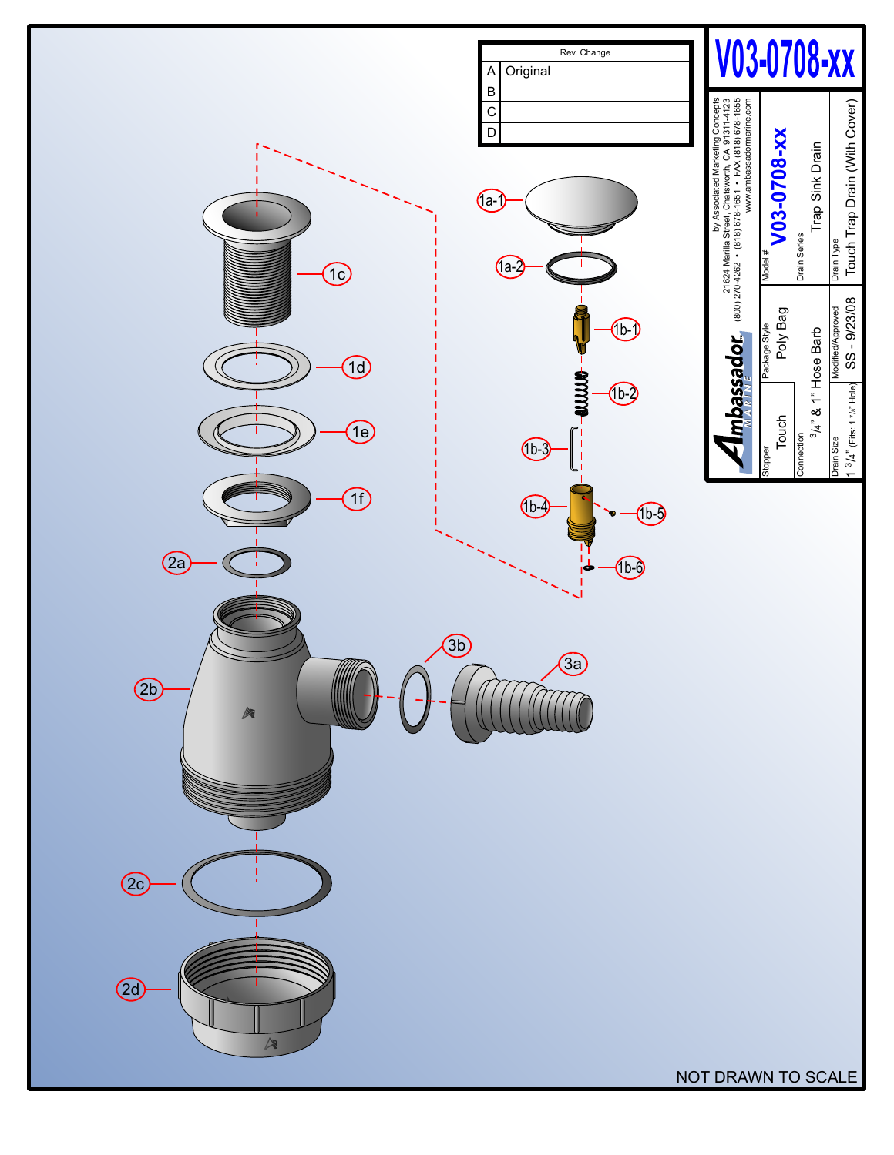